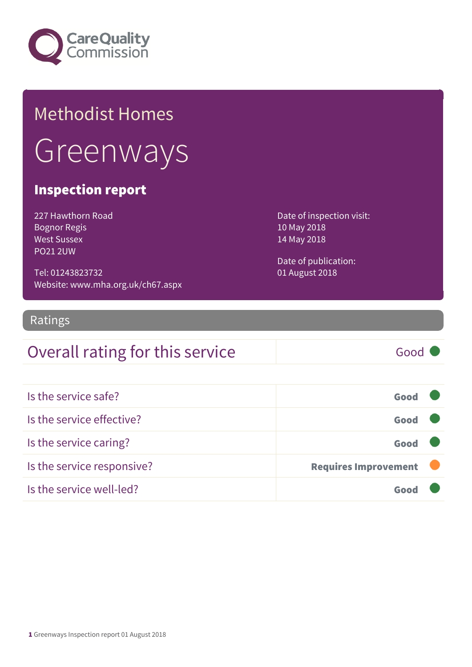

## Methodist Homes **Greenways**

#### Inspection report

227 Hawthorn Road Bognor Regis West Sussex PO21 2UW

Tel: 01243823732 Website: www.mha.org.uk/ch67.aspx Date of inspection visit: 10 May 2018 14 May 2018

Date of publication: 01 August 2018

#### Ratings

### Overall rating for this service Good

| Is the service safe?       | Good                        |
|----------------------------|-----------------------------|
| Is the service effective?  | Good                        |
| Is the service caring?     | Good                        |
| Is the service responsive? | <b>Requires Improvement</b> |
| Is the service well-led?   |                             |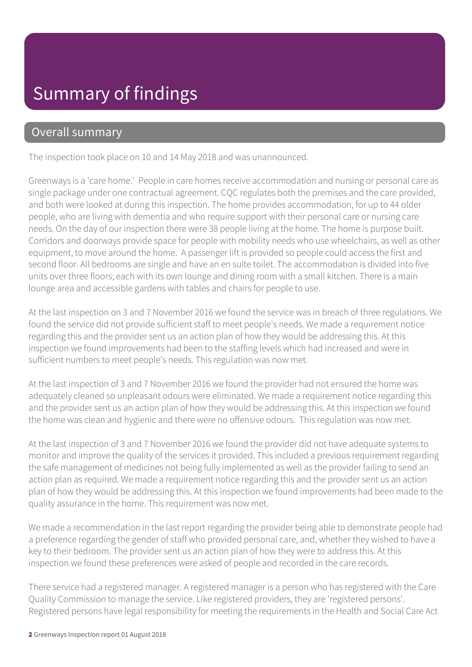#### Overall summary

The inspection took place on 10 and 14 May 2018 and was unannounced.

Greenways is a 'care home.' People in care homes receive accommodation and nursing or personal care as single package under one contractual agreement. CQC regulates both the premises and the care provided, and both were looked at during this inspection. The home provides accommodation, for up to 44 older people, who are living with dementia and who require support with their personal care or nursing care needs. On the day of our inspection there were 38 people living at the home. The home is purpose built. Corridors and doorways provide space for people with mobility needs who use wheelchairs, as well as other equipment, to move around the home. A passenger lift is provided so people could access the first and second floor. All bedrooms are single and have an en suite toilet. The accommodation is divided into five units over three floors; each with its own lounge and dining room with a small kitchen. There is a main lounge area and accessible gardens with tables and chairs for people to use.

At the last inspection on 3 and 7 November 2016 we found the service was in breach of three regulations. We found the service did not provide sufficient staff to meet people's needs. We made a requirement notice regarding this and the provider sent us an action plan of how they would be addressing this. At this inspection we found improvements had been to the staffing levels which had increased and were in sufficient numbers to meet people's needs. This regulation was now met.

At the last inspection of 3 and 7 November 2016 we found the provider had not ensured the home was adequately cleaned so unpleasant odours were eliminated. We made a requirement notice regarding this and the provider sent us an action plan of how they would be addressing this. At this inspection we found the home was clean and hygienic and there were no offensive odours. This regulation was now met.

At the last inspection of 3 and 7 November 2016 we found the provider did not have adequate systems to monitor and improve the quality of the services it provided. This included a previous requirement regarding the safe management of medicines not being fully implemented as well as the provider failing to send an action plan as required. We made a requirement notice regarding this and the provider sent us an action plan of how they would be addressing this. At this inspection we found improvements had been made to the quality assurance in the home. This requirement was now met.

We made a recommendation in the last report regarding the provider being able to demonstrate people had a preference regarding the gender of staff who provided personal care, and, whether they wished to have a key to their bedroom. The provider sent us an action plan of how they were to address this. At this inspection we found these preferences were asked of people and recorded in the care records.

There service had a registered manager. A registered manager is a person who has registered with the Care Quality Commission to manage the service. Like registered providers, they are 'registered persons'. Registered persons have legal responsibility for meeting the requirements in the Health and Social Care Act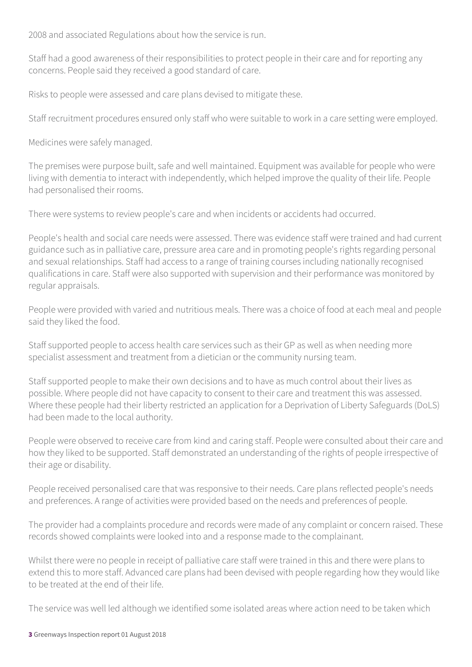2008 and associated Regulations about how the service is run.

Staff had a good awareness of their responsibilities to protect people in their care and for reporting any concerns. People said they received a good standard of care.

Risks to people were assessed and care plans devised to mitigate these.

Staff recruitment procedures ensured only staff who were suitable to work in a care setting were employed.

Medicines were safely managed.

The premises were purpose built, safe and well maintained. Equipment was available for people who were living with dementia to interact with independently, which helped improve the quality of their life. People had personalised their rooms.

There were systems to review people's care and when incidents or accidents had occurred.

People's health and social care needs were assessed. There was evidence staff were trained and had current guidance such as in palliative care, pressure area care and in promoting people's rights regarding personal and sexual relationships. Staff had access to a range of training courses including nationally recognised qualifications in care. Staff were also supported with supervision and their performance was monitored by regular appraisals.

People were provided with varied and nutritious meals. There was a choice of food at each meal and people said they liked the food.

Staff supported people to access health care services such as their GP as well as when needing more specialist assessment and treatment from a dietician or the community nursing team.

Staff supported people to make their own decisions and to have as much control about their lives as possible. Where people did not have capacity to consent to their care and treatment this was assessed. Where these people had their liberty restricted an application for a Deprivation of Liberty Safeguards (DoLS) had been made to the local authority.

People were observed to receive care from kind and caring staff. People were consulted about their care and how they liked to be supported. Staff demonstrated an understanding of the rights of people irrespective of their age or disability.

People received personalised care that was responsive to their needs. Care plans reflected people's needs and preferences. A range of activities were provided based on the needs and preferences of people.

The provider had a complaints procedure and records were made of any complaint or concern raised. These records showed complaints were looked into and a response made to the complainant.

Whilst there were no people in receipt of palliative care staff were trained in this and there were plans to extend this to more staff. Advanced care plans had been devised with people regarding how they would like to be treated at the end of their life.

The service was well led although we identified some isolated areas where action need to be taken which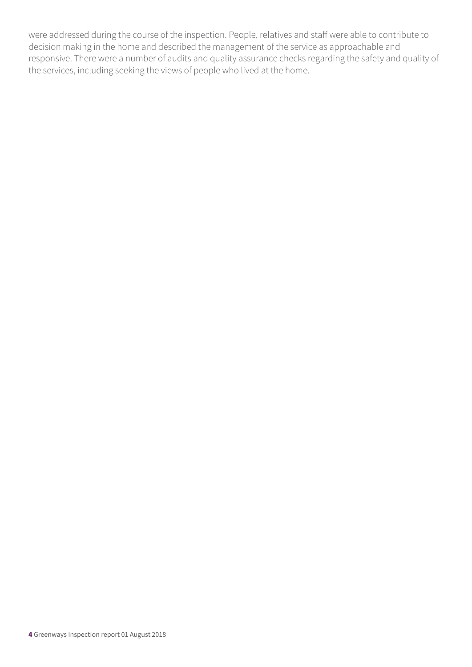were addressed during the course of the inspection. People, relatives and staff were able to contribute to decision making in the home and described the management of the service as approachable and responsive. There were a number of audits and quality assurance checks regarding the safety and quality of the services, including seeking the views of people who lived at the home.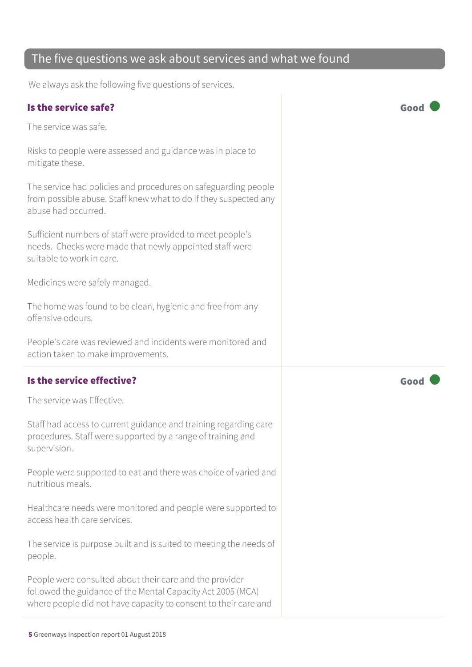#### The five questions we ask about services and what we found

We always ask the following five questions of services.

#### Is the service safe? Good

The service was safe.

Risks to people were assessed and guidance was in place to mitigate these.

The service had policies and procedures on safeguarding people from possible abuse. Staff knew what to do if they suspected any abuse had occurred.

Sufficient numbers of staff were provided to meet people's needs. Checks were made that newly appointed staff were suitable to work in care.

Medicines were safely managed.

The home was found to be clean, hygienic and free from any offensive odours.

People's care was reviewed and incidents were monitored and action taken to make improvements.

#### Is the service effective?  $\Box$  Good  $\Box$  Good  $\Box$

The service was Effective.

Staff had access to current guidance and training regarding care procedures. Staff were supported by a range of training and supervision.

People were supported to eat and there was choice of varied and nutritious meals.

Healthcare needs were monitored and people were supported to access health care services.

The service is purpose built and is suited to meeting the needs of people.

People were consulted about their care and the provider followed the guidance of the Mental Capacity Act 2005 (MCA) where people did not have capacity to consent to their care and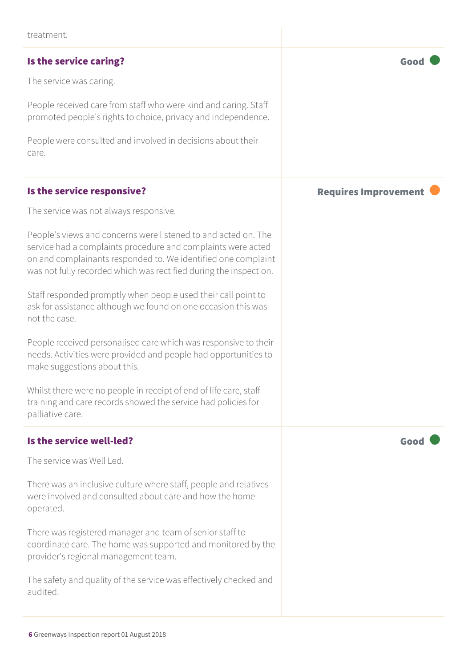#### Is the service caring? The service caring of the service caring  $\sim$  Good

The service was caring.

People received care from staff who were kind and caring. Staff promoted people's rights to choice, privacy and independence.

People were consulted and involved in decisions about their care.

#### Is the service responsive? The service responsive?

The service was not always responsive.

People's views and concerns were listened to and acted on. The service had a complaints procedure and complaints were acted on and complainants responded to. We identified one complaint was not fully recorded which was rectified during the inspection.

Staff responded promptly when people used their call point to ask for assistance although we found on one occasion this was not the case.

People received personalised care which was responsive to their needs. Activities were provided and people had opportunities to make suggestions about this.

Whilst there were no people in receipt of end of life care, staff training and care records showed the service had policies for palliative care.

#### Is the service well-led? Good

The service was Well Led.

There was an inclusive culture where staff, people and relatives were involved and consulted about care and how the home operated.

There was registered manager and team of senior staff to coordinate care. The home was supported and monitored by the provider's regional management team.

The safety and quality of the service was effectively checked and audited.

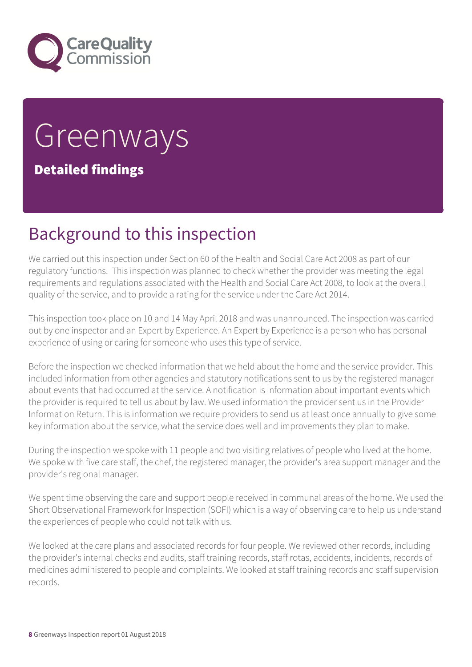

# **Greenways**

Detailed findings

### Background to this inspection

We carried out this inspection under Section 60 of the Health and Social Care Act 2008 as part of our regulatory functions. This inspection was planned to check whether the provider was meeting the legal requirements and regulations associated with the Health and Social Care Act 2008, to look at the overall quality of the service, and to provide a rating for the service under the Care Act 2014.

This inspection took place on 10 and 14 May April 2018 and was unannounced. The inspection was carried out by one inspector and an Expert by Experience. An Expert by Experience is a person who has personal experience of using or caring for someone who uses this type of service.

Before the inspection we checked information that we held about the home and the service provider. This included information from other agencies and statutory notifications sent to us by the registered manager about events that had occurred at the service. A notification is information about important events which the provider is required to tell us about by law. We used information the provider sent us in the Provider Information Return. This is information we require providers to send us at least once annually to give some key information about the service, what the service does well and improvements they plan to make.

During the inspection we spoke with 11 people and two visiting relatives of people who lived at the home. We spoke with five care staff, the chef, the registered manager, the provider's area support manager and the provider's regional manager.

We spent time observing the care and support people received in communal areas of the home. We used the Short Observational Framework for Inspection (SOFI) which is a way of observing care to help us understand the experiences of people who could not talk with us.

We looked at the care plans and associated records for four people. We reviewed other records, including the provider's internal checks and audits, staff training records, staff rotas, accidents, incidents, records of medicines administered to people and complaints. We looked at staff training records and staff supervision records.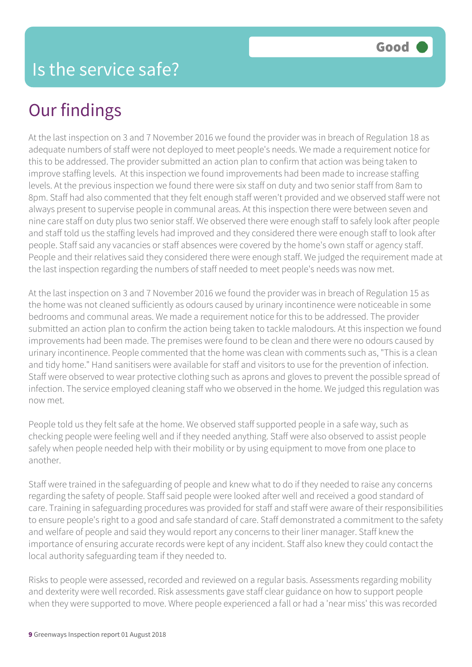### Our findings

At the last inspection on 3 and 7 November 2016 we found the provider was in breach of Regulation 18 as adequate numbers of staff were not deployed to meet people's needs. We made a requirement notice for this to be addressed. The provider submitted an action plan to confirm that action was being taken to improve staffing levels. At this inspection we found improvements had been made to increase staffing levels. At the previous inspection we found there were six staff on duty and two senior staff from 8am to 8pm. Staff had also commented that they felt enough staff weren't provided and we observed staff were not always present to supervise people in communal areas. At this inspection there were between seven and nine care staff on duty plus two senior staff. We observed there were enough staff to safely look after people and staff told us the staffing levels had improved and they considered there were enough staff to look after people. Staff said any vacancies or staff absences were covered by the home's own staff or agency staff. People and their relatives said they considered there were enough staff. We judged the requirement made at the last inspection regarding the numbers of staff needed to meet people's needs was now met.

At the last inspection on 3 and 7 November 2016 we found the provider was in breach of Regulation 15 as the home was not cleaned sufficiently as odours caused by urinary incontinence were noticeable in some bedrooms and communal areas. We made a requirement notice for this to be addressed. The provider submitted an action plan to confirm the action being taken to tackle malodours. At this inspection we found improvements had been made. The premises were found to be clean and there were no odours caused by urinary incontinence. People commented that the home was clean with comments such as, "This is a clean and tidy home." Hand sanitisers were available for staff and visitors to use for the prevention of infection. Staff were observed to wear protective clothing such as aprons and gloves to prevent the possible spread of infection. The service employed cleaning staff who we observed in the home. We judged this regulation was now met.

People told us they felt safe at the home. We observed staff supported people in a safe way, such as checking people were feeling well and if they needed anything. Staff were also observed to assist people safely when people needed help with their mobility or by using equipment to move from one place to another.

Staff were trained in the safeguarding of people and knew what to do if they needed to raise any concerns regarding the safety of people. Staff said people were looked after well and received a good standard of care. Training in safeguarding procedures was provided for staff and staff were aware of their responsibilities to ensure people's right to a good and safe standard of care. Staff demonstrated a commitment to the safety and welfare of people and said they would report any concerns to their liner manager. Staff knew the importance of ensuring accurate records were kept of any incident. Staff also knew they could contact the local authority safeguarding team if they needed to.

Risks to people were assessed, recorded and reviewed on a regular basis. Assessments regarding mobility and dexterity were well recorded. Risk assessments gave staff clear guidance on how to support people when they were supported to move. Where people experienced a fall or had a 'near miss' this was recorded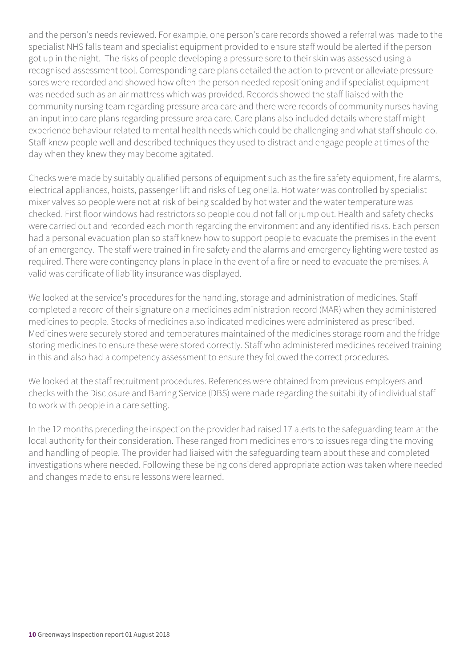and the person's needs reviewed. For example, one person's care records showed a referral was made to the specialist NHS falls team and specialist equipment provided to ensure staff would be alerted if the person got up in the night. The risks of people developing a pressure sore to their skin was assessed using a recognised assessment tool. Corresponding care plans detailed the action to prevent or alleviate pressure sores were recorded and showed how often the person needed repositioning and if specialist equipment was needed such as an air mattress which was provided. Records showed the staff liaised with the community nursing team regarding pressure area care and there were records of community nurses having an input into care plans regarding pressure area care. Care plans also included details where staff might experience behaviour related to mental health needs which could be challenging and what staff should do. Staff knew people well and described techniques they used to distract and engage people at times of the day when they knew they may become agitated.

Checks were made by suitably qualified persons of equipment such as the fire safety equipment, fire alarms, electrical appliances, hoists, passenger lift and risks of Legionella. Hot water was controlled by specialist mixer valves so people were not at risk of being scalded by hot water and the water temperature was checked. First floor windows had restrictors so people could not fall or jump out. Health and safety checks were carried out and recorded each month regarding the environment and any identified risks. Each person had a personal evacuation plan so staff knew how to support people to evacuate the premises in the event of an emergency. The staff were trained in fire safety and the alarms and emergency lighting were tested as required. There were contingency plans in place in the event of a fire or need to evacuate the premises. A valid was certificate of liability insurance was displayed.

We looked at the service's procedures for the handling, storage and administration of medicines. Staff completed a record of their signature on a medicines administration record (MAR) when they administered medicines to people. Stocks of medicines also indicated medicines were administered as prescribed. Medicines were securely stored and temperatures maintained of the medicines storage room and the fridge storing medicines to ensure these were stored correctly. Staff who administered medicines received training in this and also had a competency assessment to ensure they followed the correct procedures.

We looked at the staff recruitment procedures. References were obtained from previous employers and checks with the Disclosure and Barring Service (DBS) were made regarding the suitability of individual staff to work with people in a care setting.

In the 12 months preceding the inspection the provider had raised 17 alerts to the safeguarding team at the local authority for their consideration. These ranged from medicines errors to issues regarding the moving and handling of people. The provider had liaised with the safeguarding team about these and completed investigations where needed. Following these being considered appropriate action was taken where needed and changes made to ensure lessons were learned.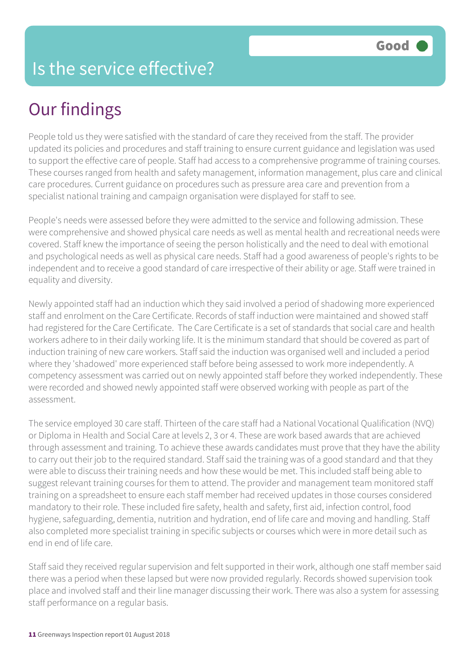### Is the service effective?

### Our findings

People told us they were satisfied with the standard of care they received from the staff. The provider updated its policies and procedures and staff training to ensure current guidance and legislation was used to support the effective care of people. Staff had access to a comprehensive programme of training courses. These courses ranged from health and safety management, information management, plus care and clinical care procedures. Current guidance on procedures such as pressure area care and prevention from a specialist national training and campaign organisation were displayed for staff to see.

People's needs were assessed before they were admitted to the service and following admission. These were comprehensive and showed physical care needs as well as mental health and recreational needs were covered. Staff knew the importance of seeing the person holistically and the need to deal with emotional and psychological needs as well as physical care needs. Staff had a good awareness of people's rights to be independent and to receive a good standard of care irrespective of their ability or age. Staff were trained in equality and diversity.

Newly appointed staff had an induction which they said involved a period of shadowing more experienced staff and enrolment on the Care Certificate. Records of staff induction were maintained and showed staff had registered for the Care Certificate. The Care Certificate is a set of standards that social care and health workers adhere to in their daily working life. It is the minimum standard that should be covered as part of induction training of new care workers. Staff said the induction was organised well and included a period where they 'shadowed' more experienced staff before being assessed to work more independently. A competency assessment was carried out on newly appointed staff before they worked independently. These were recorded and showed newly appointed staff were observed working with people as part of the assessment.

The service employed 30 care staff. Thirteen of the care staff had a National Vocational Qualification (NVQ) or Diploma in Health and Social Care at levels 2, 3 or 4. These are work based awards that are achieved through assessment and training. To achieve these awards candidates must prove that they have the ability to carry out their job to the required standard. Staff said the training was of a good standard and that they were able to discuss their training needs and how these would be met. This included staff being able to suggest relevant training courses for them to attend. The provider and management team monitored staff training on a spreadsheet to ensure each staff member had received updates in those courses considered mandatory to their role. These included fire safety, health and safety, first aid, infection control, food hygiene, safeguarding, dementia, nutrition and hydration, end of life care and moving and handling. Staff also completed more specialist training in specific subjects or courses which were in more detail such as end in end of life care.

Staff said they received regular supervision and felt supported in their work, although one staff member said there was a period when these lapsed but were now provided regularly. Records showed supervision took place and involved staff and their line manager discussing their work. There was also a system for assessing staff performance on a regular basis.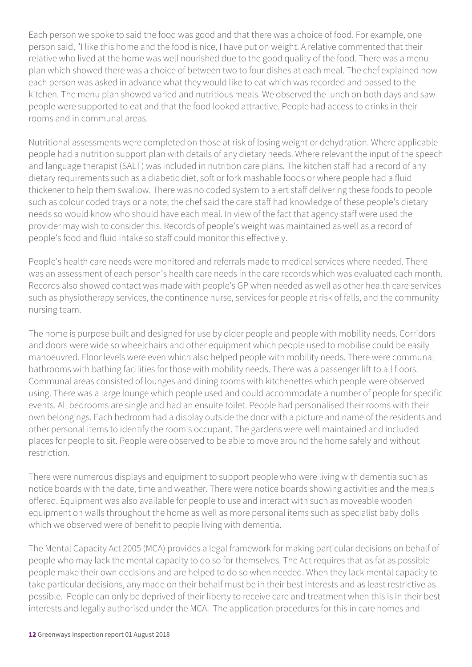Each person we spoke to said the food was good and that there was a choice of food. For example, one person said, "I like this home and the food is nice, I have put on weight. A relative commented that their relative who lived at the home was well nourished due to the good quality of the food. There was a menu plan which showed there was a choice of between two to four dishes at each meal. The chef explained how each person was asked in advance what they would like to eat which was recorded and passed to the kitchen. The menu plan showed varied and nutritious meals. We observed the lunch on both days and saw people were supported to eat and that the food looked attractive. People had access to drinks in their rooms and in communal areas.

Nutritional assessments were completed on those at risk of losing weight or dehydration. Where applicable people had a nutrition support plan with details of any dietary needs. Where relevant the input of the speech and language therapist (SALT) was included in nutrition care plans. The kitchen staff had a record of any dietary requirements such as a diabetic diet, soft or fork mashable foods or where people had a fluid thickener to help them swallow. There was no coded system to alert staff delivering these foods to people such as colour coded trays or a note; the chef said the care staff had knowledge of these people's dietary needs so would know who should have each meal. In view of the fact that agency staff were used the provider may wish to consider this. Records of people's weight was maintained as well as a record of people's food and fluid intake so staff could monitor this effectively.

People's health care needs were monitored and referrals made to medical services where needed. There was an assessment of each person's health care needs in the care records which was evaluated each month. Records also showed contact was made with people's GP when needed as well as other health care services such as physiotherapy services, the continence nurse, services for people at risk of falls, and the community nursing team.

The home is purpose built and designed for use by older people and people with mobility needs. Corridors and doors were wide so wheelchairs and other equipment which people used to mobilise could be easily manoeuvred. Floor levels were even which also helped people with mobility needs. There were communal bathrooms with bathing facilities for those with mobility needs. There was a passenger lift to all floors. Communal areas consisted of lounges and dining rooms with kitchenettes which people were observed using. There was a large lounge which people used and could accommodate a number of people for specific events. All bedrooms are single and had an ensuite toilet. People had personalised their rooms with their own belongings. Each bedroom had a display outside the door with a picture and name of the residents and other personal items to identify the room's occupant. The gardens were well maintained and included places for people to sit. People were observed to be able to move around the home safely and without restriction.

There were numerous displays and equipment to support people who were living with dementia such as notice boards with the date, time and weather. There were notice boards showing activities and the meals offered. Equipment was also available for people to use and interact with such as moveable wooden equipment on walls throughout the home as well as more personal items such as specialist baby dolls which we observed were of benefit to people living with dementia.

The Mental Capacity Act 2005 (MCA) provides a legal framework for making particular decisions on behalf of people who may lack the mental capacity to do so for themselves. The Act requires that as far as possible people make their own decisions and are helped to do so when needed. When they lack mental capacity to take particular decisions, any made on their behalf must be in their best interests and as least restrictive as possible. People can only be deprived of their liberty to receive care and treatment when this is in their best interests and legally authorised under the MCA. The application procedures for this in care homes and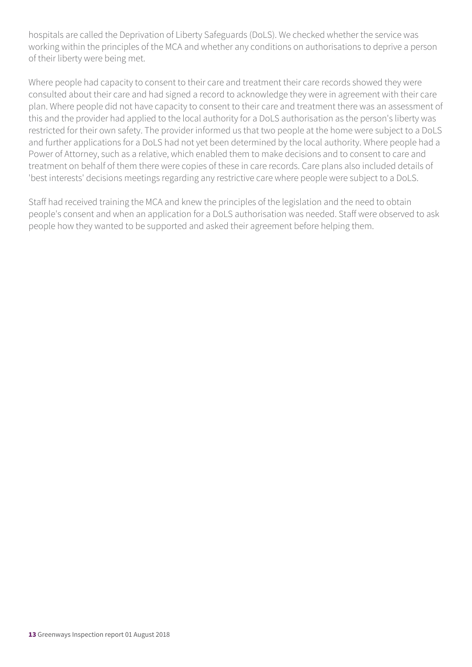hospitals are called the Deprivation of Liberty Safeguards (DoLS). We checked whether the service was working within the principles of the MCA and whether any conditions on authorisations to deprive a person of their liberty were being met.

Where people had capacity to consent to their care and treatment their care records showed they were consulted about their care and had signed a record to acknowledge they were in agreement with their care plan. Where people did not have capacity to consent to their care and treatment there was an assessment of this and the provider had applied to the local authority for a DoLS authorisation as the person's liberty was restricted for their own safety. The provider informed us that two people at the home were subject to a DoLS and further applications for a DoLS had not yet been determined by the local authority. Where people had a Power of Attorney, such as a relative, which enabled them to make decisions and to consent to care and treatment on behalf of them there were copies of these in care records. Care plans also included details of 'best interests' decisions meetings regarding any restrictive care where people were subject to a DoLS.

Staff had received training the MCA and knew the principles of the legislation and the need to obtain people's consent and when an application for a DoLS authorisation was needed. Staff were observed to ask people how they wanted to be supported and asked their agreement before helping them.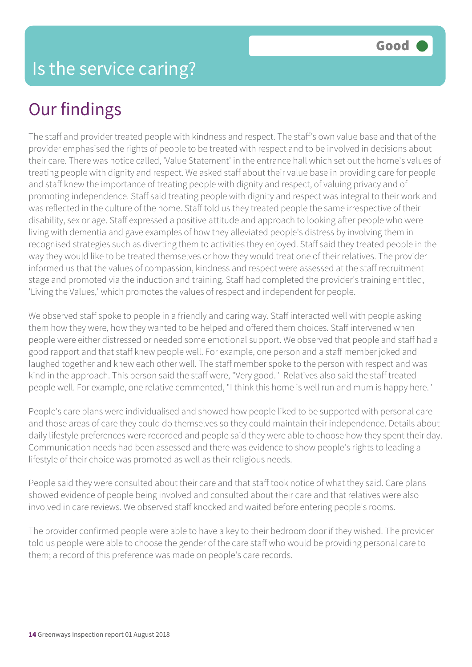### Our findings

The staff and provider treated people with kindness and respect. The staff's own value base and that of the provider emphasised the rights of people to be treated with respect and to be involved in decisions about their care. There was notice called, 'Value Statement' in the entrance hall which set out the home's values of treating people with dignity and respect. We asked staff about their value base in providing care for people and staff knew the importance of treating people with dignity and respect, of valuing privacy and of promoting independence. Staff said treating people with dignity and respect was integral to their work and was reflected in the culture of the home. Staff told us they treated people the same irrespective of their disability, sex or age. Staff expressed a positive attitude and approach to looking after people who were living with dementia and gave examples of how they alleviated people's distress by involving them in recognised strategies such as diverting them to activities they enjoyed. Staff said they treated people in the way they would like to be treated themselves or how they would treat one of their relatives. The provider informed us that the values of compassion, kindness and respect were assessed at the staff recruitment stage and promoted via the induction and training. Staff had completed the provider's training entitled, 'Living the Values,' which promotes the values of respect and independent for people.

We observed staff spoke to people in a friendly and caring way. Staff interacted well with people asking them how they were, how they wanted to be helped and offered them choices. Staff intervened when people were either distressed or needed some emotional support. We observed that people and staff had a good rapport and that staff knew people well. For example, one person and a staff member joked and laughed together and knew each other well. The staff member spoke to the person with respect and was kind in the approach. This person said the staff were, "Very good." Relatives also said the staff treated people well. For example, one relative commented, "I think this home is well run and mum is happy here."

People's care plans were individualised and showed how people liked to be supported with personal care and those areas of care they could do themselves so they could maintain their independence. Details about daily lifestyle preferences were recorded and people said they were able to choose how they spent their day. Communication needs had been assessed and there was evidence to show people's rights to leading a lifestyle of their choice was promoted as well as their religious needs.

People said they were consulted about their care and that staff took notice of what they said. Care plans showed evidence of people being involved and consulted about their care and that relatives were also involved in care reviews. We observed staff knocked and waited before entering people's rooms.

The provider confirmed people were able to have a key to their bedroom door if they wished. The provider told us people were able to choose the gender of the care staff who would be providing personal care to them; a record of this preference was made on people's care records.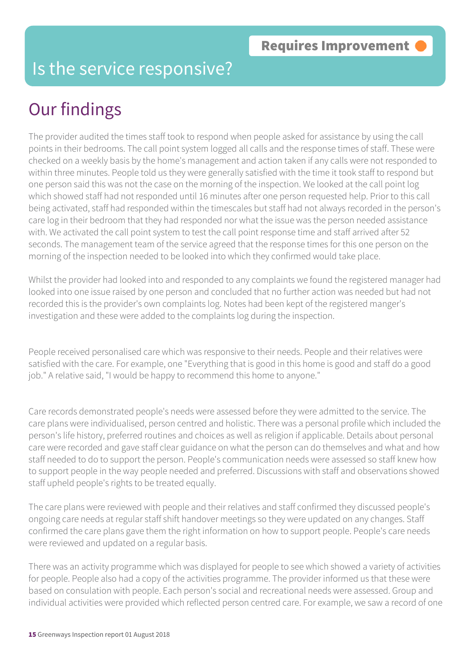### Is the service responsive?

### Our findings

The provider audited the times staff took to respond when people asked for assistance by using the call points in their bedrooms. The call point system logged all calls and the response times of staff. These were checked on a weekly basis by the home's management and action taken if any calls were not responded to within three minutes. People told us they were generally satisfied with the time it took staff to respond but one person said this was not the case on the morning of the inspection. We looked at the call point log which showed staff had not responded until 16 minutes after one person requested help. Prior to this call being activated, staff had responded within the timescales but staff had not always recorded in the person's care log in their bedroom that they had responded nor what the issue was the person needed assistance with. We activated the call point system to test the call point response time and staff arrived after 52 seconds. The management team of the service agreed that the response times for this one person on the morning of the inspection needed to be looked into which they confirmed would take place.

Whilst the provider had looked into and responded to any complaints we found the registered manager had looked into one issue raised by one person and concluded that no further action was needed but had not recorded this is the provider's own complaints log. Notes had been kept of the registered manger's investigation and these were added to the complaints log during the inspection.

People received personalised care which was responsive to their needs. People and their relatives were satisfied with the care. For example, one "Everything that is good in this home is good and staff do a good job." A relative said, "I would be happy to recommend this home to anyone."

Care records demonstrated people's needs were assessed before they were admitted to the service. The care plans were individualised, person centred and holistic. There was a personal profile which included the person's life history, preferred routines and choices as well as religion if applicable. Details about personal care were recorded and gave staff clear guidance on what the person can do themselves and what and how staff needed to do to support the person. People's communication needs were assessed so staff knew how to support people in the way people needed and preferred. Discussions with staff and observations showed staff upheld people's rights to be treated equally.

The care plans were reviewed with people and their relatives and staff confirmed they discussed people's ongoing care needs at regular staff shift handover meetings so they were updated on any changes. Staff confirmed the care plans gave them the right information on how to support people. People's care needs were reviewed and updated on a regular basis.

There was an activity programme which was displayed for people to see which showed a variety of activities for people. People also had a copy of the activities programme. The provider informed us that these were based on consulation with people. Each person's social and recreational needs were assessed. Group and individual activities were provided which reflected person centred care. For example, we saw a record of one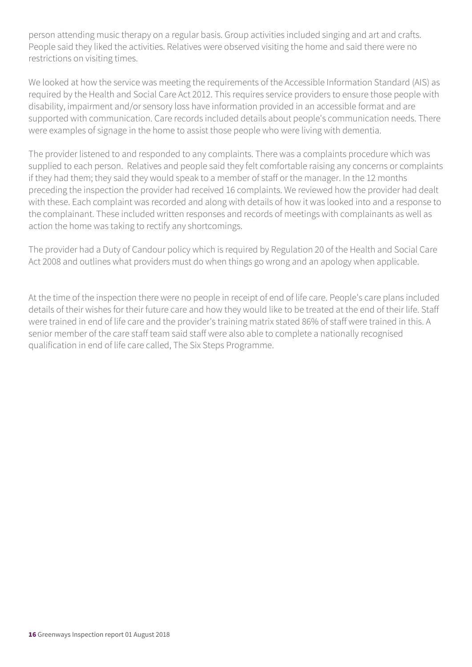person attending music therapy on a regular basis. Group activities included singing and art and crafts. People said they liked the activities. Relatives were observed visiting the home and said there were no restrictions on visiting times.

We looked at how the service was meeting the requirements of the Accessible Information Standard (AIS) as required by the Health and Social Care Act 2012. This requires service providers to ensure those people with disability, impairment and/or sensory loss have information provided in an accessible format and are supported with communication. Care records included details about people's communication needs. There were examples of signage in the home to assist those people who were living with dementia.

The provider listened to and responded to any complaints. There was a complaints procedure which was supplied to each person. Relatives and people said they felt comfortable raising any concerns or complaints if they had them; they said they would speak to a member of staff or the manager. In the 12 months preceding the inspection the provider had received 16 complaints. We reviewed how the provider had dealt with these. Each complaint was recorded and along with details of how it was looked into and a response to the complainant. These included written responses and records of meetings with complainants as well as action the home was taking to rectify any shortcomings.

The provider had a Duty of Candour policy which is required by Regulation 20 of the Health and Social Care Act 2008 and outlines what providers must do when things go wrong and an apology when applicable.

At the time of the inspection there were no people in receipt of end of life care. People's care plans included details of their wishes for their future care and how they would like to be treated at the end of their life. Staff were trained in end of life care and the provider's training matrix stated 86% of staff were trained in this. A senior member of the care staff team said staff were also able to complete a nationally recognised qualification in end of life care called, The Six Steps Programme.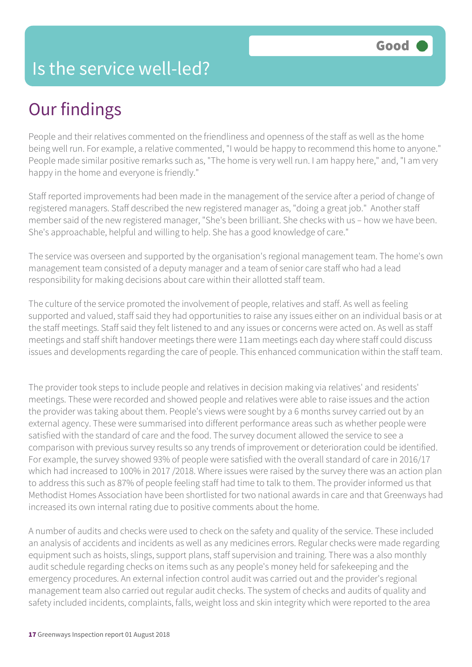### Our findings

People and their relatives commented on the friendliness and openness of the staff as well as the home being well run. For example, a relative commented, "I would be happy to recommend this home to anyone." People made similar positive remarks such as, "The home is very well run. I am happy here," and, "I am very happy in the home and everyone is friendly."

Staff reported improvements had been made in the management of the service after a period of change of registered managers. Staff described the new registered manager as, "doing a great job." Another staff member said of the new registered manager, "She's been brilliant. She checks with us – how we have been. She's approachable, helpful and willing to help. She has a good knowledge of care."

The service was overseen and supported by the organisation's regional management team. The home's own management team consisted of a deputy manager and a team of senior care staff who had a lead responsibility for making decisions about care within their allotted staff team.

The culture of the service promoted the involvement of people, relatives and staff. As well as feeling supported and valued, staff said they had opportunities to raise any issues either on an individual basis or at the staff meetings. Staff said they felt listened to and any issues or concerns were acted on. As well as staff meetings and staff shift handover meetings there were 11am meetings each day where staff could discuss issues and developments regarding the care of people. This enhanced communication within the staff team.

The provider took steps to include people and relatives in decision making via relatives' and residents' meetings. These were recorded and showed people and relatives were able to raise issues and the action the provider was taking about them. People's views were sought by a 6 months survey carried out by an external agency. These were summarised into different performance areas such as whether people were satisfied with the standard of care and the food. The survey document allowed the service to see a comparison with previous survey results so any trends of improvement or deterioration could be identified. For example, the survey showed 93% of people were satisfied with the overall standard of care in 2016/17 which had increased to 100% in 2017 /2018. Where issues were raised by the survey there was an action plan to address this such as 87% of people feeling staff had time to talk to them. The provider informed us that Methodist Homes Association have been shortlisted for two national awards in care and that Greenways had increased its own internal rating due to positive comments about the home.

A number of audits and checks were used to check on the safety and quality of the service. These included an analysis of accidents and incidents as well as any medicines errors. Regular checks were made regarding equipment such as hoists, slings, support plans, staff supervision and training. There was a also monthly audit schedule regarding checks on items such as any people's money held for safekeeping and the emergency procedures. An external infection control audit was carried out and the provider's regional management team also carried out regular audit checks. The system of checks and audits of quality and safety included incidents, complaints, falls, weight loss and skin integrity which were reported to the area